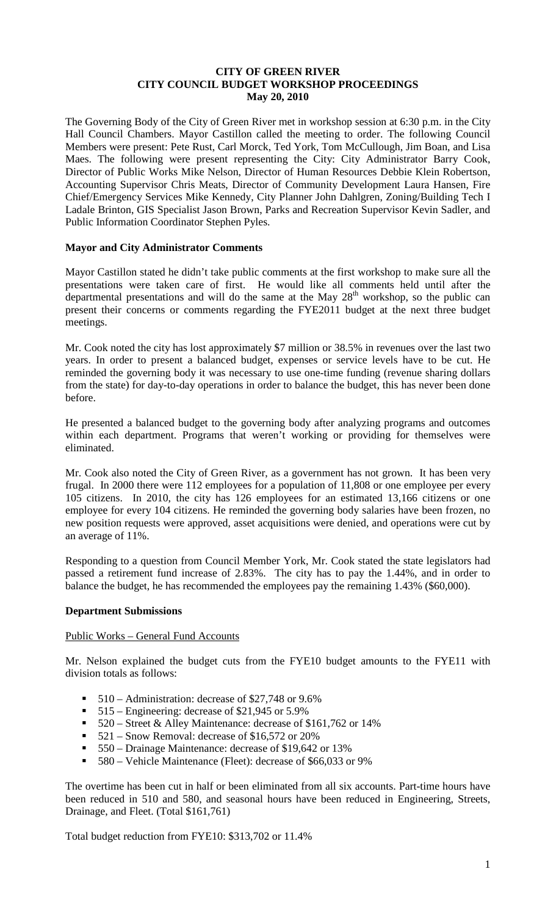### **CITY OF GREEN RIVER CITY COUNCIL BUDGET WORKSHOP PROCEEDINGS May 20, 2010**

The Governing Body of the City of Green River met in workshop session at 6:30 p.m. in the City Hall Council Chambers. Mayor Castillon called the meeting to order. The following Council Members were present: Pete Rust, Carl Morck, Ted York, Tom McCullough, Jim Boan, and Lisa Maes. The following were present representing the City: City Administrator Barry Cook, Director of Public Works Mike Nelson, Director of Human Resources Debbie Klein Robertson, Accounting Supervisor Chris Meats, Director of Community Development Laura Hansen, Fire Chief/Emergency Services Mike Kennedy, City Planner John Dahlgren, Zoning/Building Tech I Ladale Brinton, GIS Specialist Jason Brown, Parks and Recreation Supervisor Kevin Sadler, and Public Information Coordinator Stephen Pyles.

### **Mayor and City Administrator Comments**

Mayor Castillon stated he didn't take public comments at the first workshop to make sure all the presentations were taken care of first. He would like all comments held until after the departmental presentations and will do the same at the May  $28<sup>th</sup>$  workshop, so the public can present their concerns or comments regarding the FYE2011 budget at the next three budget meetings.

Mr. Cook noted the city has lost approximately \$7 million or 38.5% in revenues over the last two years. In order to present a balanced budget, expenses or service levels have to be cut. He reminded the governing body it was necessary to use one-time funding (revenue sharing dollars from the state) for day-to-day operations in order to balance the budget, this has never been done before.

He presented a balanced budget to the governing body after analyzing programs and outcomes within each department. Programs that weren't working or providing for themselves were eliminated.

Mr. Cook also noted the City of Green River, as a government has not grown. It has been very frugal. In 2000 there were 112 employees for a population of 11,808 or one employee per every 105 citizens. In 2010, the city has 126 employees for an estimated 13,166 citizens or one employee for every 104 citizens. He reminded the governing body salaries have been frozen, no new position requests were approved, asset acquisitions were denied, and operations were cut by an average of 11%.

Responding to a question from Council Member York, Mr. Cook stated the state legislators had passed a retirement fund increase of 2.83%. The city has to pay the 1.44%, and in order to balance the budget, he has recommended the employees pay the remaining 1.43% (\$60,000).

#### **Department Submissions**

#### Public Works – General Fund Accounts

Mr. Nelson explained the budget cuts from the FYE10 budget amounts to the FYE11 with division totals as follows:

- $\blacksquare$  510 Administration: decrease of \$27,748 or 9.6%
- $\blacksquare$  515 Engineering: decrease of \$21,945 or 5.9%
- 520 Street & Alley Maintenance: decrease of \$161,762 or 14%
- 521 Snow Removal: decrease of \$16,572 or 20%
- 550 Drainage Maintenance: decrease of \$19,642 or 13%
- 580 Vehicle Maintenance (Fleet): decrease of \$66,033 or 9%

The overtime has been cut in half or been eliminated from all six accounts. Part-time hours have been reduced in 510 and 580, and seasonal hours have been reduced in Engineering, Streets, Drainage, and Fleet. (Total \$161,761)

Total budget reduction from FYE10: \$313,702 or 11.4%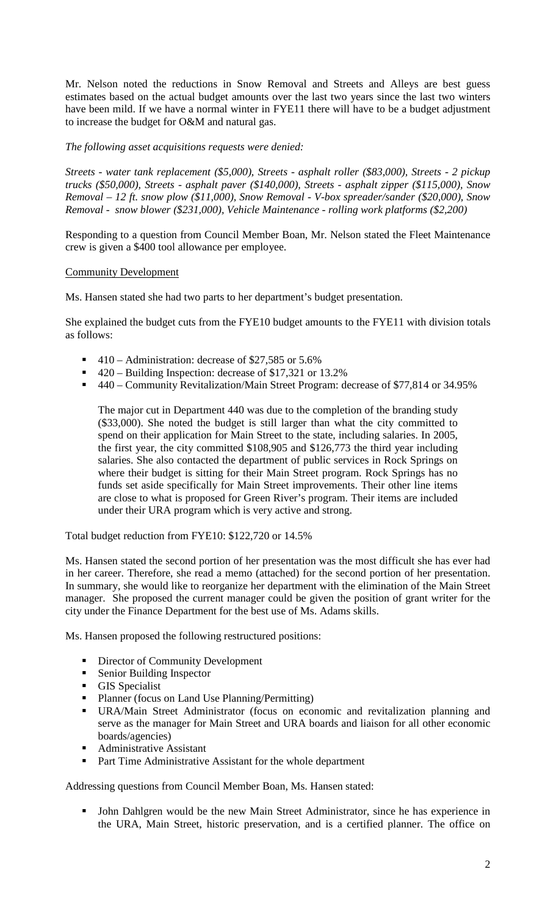Mr. Nelson noted the reductions in Snow Removal and Streets and Alleys are best guess estimates based on the actual budget amounts over the last two years since the last two winters have been mild. If we have a normal winter in FYE11 there will have to be a budget adjustment to increase the budget for O&M and natural gas.

*The following asset acquisitions requests were denied:*

*Streets - water tank replacement (\$5,000), Streets - asphalt roller (\$83,000), Streets - 2 pickup trucks (\$50,000), Streets - asphalt paver (\$140,000), Streets - asphalt zipper (\$115,000), Snow Removal – 12 ft. snow plow (\$11,000), Snow Removal - V-box spreader/sander (\$20,000), Snow Removal - snow blower (\$231,000), Vehicle Maintenance - rolling work platforms (\$2,200)*

Responding to a question from Council Member Boan, Mr. Nelson stated the Fleet Maintenance crew is given a \$400 tool allowance per employee.

# Community Development

Ms. Hansen stated she had two parts to her department's budget presentation.

She explained the budget cuts from the FYE10 budget amounts to the FYE11 with division totals as follows:

- $\blacksquare$  410 Administration: decrease of \$27,585 or 5.6%
- 420 Building Inspection: decrease of \$17,321 or 13.2%
- 440 Community Revitalization/Main Street Program: decrease of \$77,814 or 34.95%

The major cut in Department 440 was due to the completion of the branding study (\$33,000). She noted the budget is still larger than what the city committed to spend on their application for Main Street to the state, including salaries. In 2005, the first year, the city committed \$108,905 and \$126,773 the third year including salaries. She also contacted the department of public services in Rock Springs on where their budget is sitting for their Main Street program. Rock Springs has no funds set aside specifically for Main Street improvements. Their other line items are close to what is proposed for Green River's program. Their items are included under their URA program which is very active and strong.

Total budget reduction from FYE10: \$122,720 or 14.5%

Ms. Hansen stated the second portion of her presentation was the most difficult she has ever had in her career. Therefore, she read a memo (attached) for the second portion of her presentation. In summary, she would like to reorganize her department with the elimination of the Main Street manager. She proposed the current manager could be given the position of grant writer for the city under the Finance Department for the best use of Ms. Adams skills.

Ms. Hansen proposed the following restructured positions:

- **•** Director of Community Development
- **Senior Building Inspector**
- **GIS** Specialist
- Planner (focus on Land Use Planning/Permitting)
- URA/Main Street Administrator (focus on economic and revitalization planning and serve as the manager for Main Street and URA boards and liaison for all other economic boards/agencies)
- **Administrative Assistant**
- Part Time Administrative Assistant for the whole department

Addressing questions from Council Member Boan, Ms. Hansen stated:

 John Dahlgren would be the new Main Street Administrator, since he has experience in the URA, Main Street, historic preservation, and is a certified planner. The office on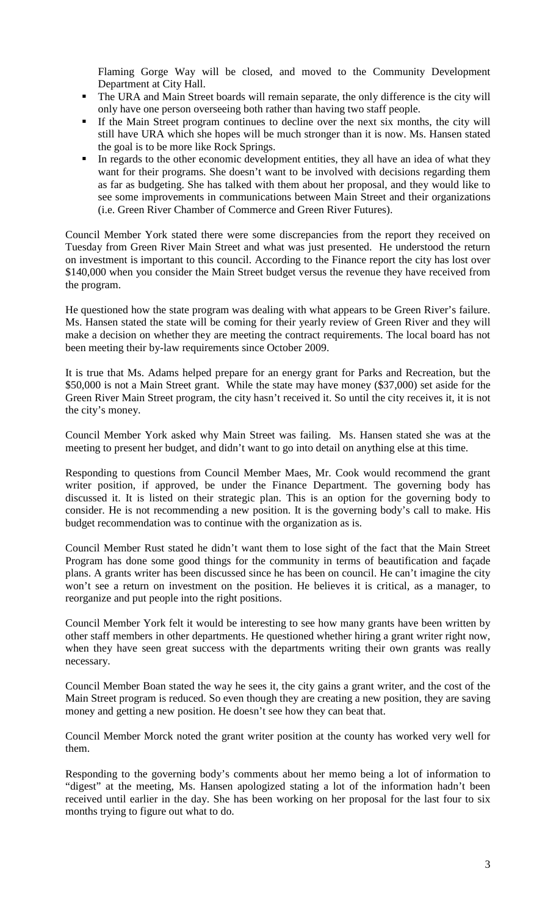Flaming Gorge Way will be closed, and moved to the Community Development Department at City Hall.

- The URA and Main Street boards will remain separate, the only difference is the city will only have one person overseeing both rather than having two staff people.
- If the Main Street program continues to decline over the next six months, the city will still have URA which she hopes will be much stronger than it is now. Ms. Hansen stated the goal is to be more like Rock Springs.
- In regards to the other economic development entities, they all have an idea of what they want for their programs. She doesn't want to be involved with decisions regarding them as far as budgeting. She has talked with them about her proposal, and they would like to see some improvements in communications between Main Street and their organizations (i.e. Green River Chamber of Commerce and Green River Futures).

Council Member York stated there were some discrepancies from the report they received on Tuesday from Green River Main Street and what was just presented. He understood the return on investment is important to this council. According to the Finance report the city has lost over \$140,000 when you consider the Main Street budget versus the revenue they have received from the program.

He questioned how the state program was dealing with what appears to be Green River's failure. Ms. Hansen stated the state will be coming for their yearly review of Green River and they will make a decision on whether they are meeting the contract requirements. The local board has not been meeting their by-law requirements since October 2009.

It is true that Ms. Adams helped prepare for an energy grant for Parks and Recreation, but the \$50,000 is not a Main Street grant. While the state may have money (\$37,000) set aside for the Green River Main Street program, the city hasn't received it. So until the city receives it, it is not the city's money.

Council Member York asked why Main Street was failing. Ms. Hansen stated she was at the meeting to present her budget, and didn't want to go into detail on anything else at this time.

Responding to questions from Council Member Maes, Mr. Cook would recommend the grant writer position, if approved, be under the Finance Department. The governing body has discussed it. It is listed on their strategic plan. This is an option for the governing body to consider. He is not recommending a new position. It is the governing body's call to make. His budget recommendation was to continue with the organization as is.

Council Member Rust stated he didn't want them to lose sight of the fact that the Main Street Program has done some good things for the community in terms of beautification and façade plans. A grants writer has been discussed since he has been on council. He can't imagine the city won't see a return on investment on the position. He believes it is critical, as a manager, to reorganize and put people into the right positions.

Council Member York felt it would be interesting to see how many grants have been written by other staff members in other departments. He questioned whether hiring a grant writer right now, when they have seen great success with the departments writing their own grants was really necessary.

Council Member Boan stated the way he sees it, the city gains a grant writer, and the cost of the Main Street program is reduced. So even though they are creating a new position, they are saving money and getting a new position. He doesn't see how they can beat that.

Council Member Morck noted the grant writer position at the county has worked very well for them.

Responding to the governing body's comments about her memo being a lot of information to "digest" at the meeting, Ms. Hansen apologized stating a lot of the information hadn't been received until earlier in the day. She has been working on her proposal for the last four to six months trying to figure out what to do.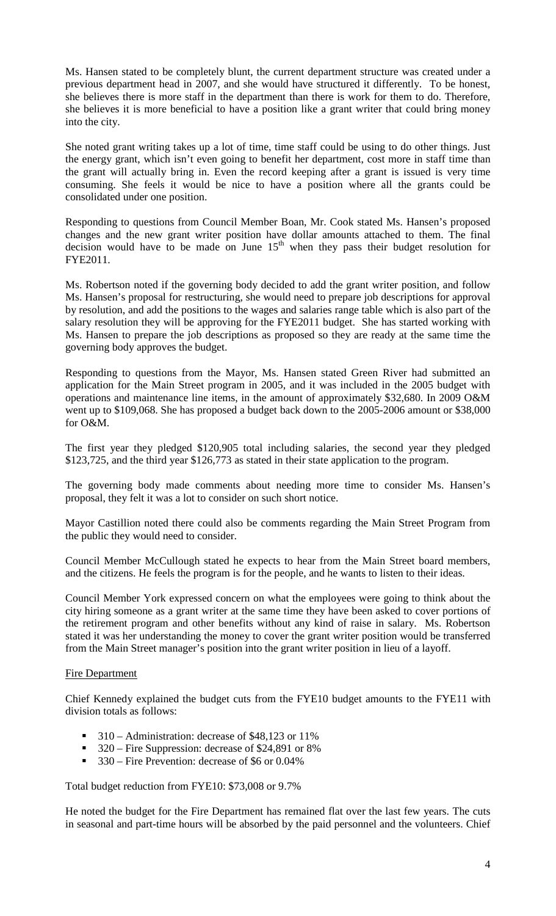Ms. Hansen stated to be completely blunt, the current department structure was created under a previous department head in 2007, and she would have structured it differently. To be honest, she believes there is more staff in the department than there is work for them to do. Therefore, she believes it is more beneficial to have a position like a grant writer that could bring money into the city.

She noted grant writing takes up a lot of time, time staff could be using to do other things. Just the energy grant, which isn't even going to benefit her department, cost more in staff time than the grant will actually bring in. Even the record keeping after a grant is issued is very time consuming. She feels it would be nice to have a position where all the grants could be consolidated under one position.

Responding to questions from Council Member Boan, Mr. Cook stated Ms. Hansen's proposed changes and the new grant writer position have dollar amounts attached to them. The final  $\frac{1}{2}$  decision would have to be made on June  $15<sup>th</sup>$  when they pass their budget resolution for FYE2011.

Ms. Robertson noted if the governing body decided to add the grant writer position, and follow Ms. Hansen's proposal for restructuring, she would need to prepare job descriptions for approval by resolution, and add the positions to the wages and salaries range table which is also part of the salary resolution they will be approving for the FYE2011 budget. She has started working with Ms. Hansen to prepare the job descriptions as proposed so they are ready at the same time the governing body approves the budget.

Responding to questions from the Mayor, Ms. Hansen stated Green River had submitted an application for the Main Street program in 2005, and it was included in the 2005 budget with operations and maintenance line items, in the amount of approximately \$32,680. In 2009 O&M went up to \$109,068. She has proposed a budget back down to the 2005-2006 amount or \$38,000 for O&M.

The first year they pledged \$120,905 total including salaries, the second year they pledged \$123,725, and the third year \$126,773 as stated in their state application to the program.

The governing body made comments about needing more time to consider Ms. Hansen's proposal, they felt it was a lot to consider on such short notice.

Mayor Castillion noted there could also be comments regarding the Main Street Program from the public they would need to consider.

Council Member McCullough stated he expects to hear from the Main Street board members, and the citizens. He feels the program is for the people, and he wants to listen to their ideas.

Council Member York expressed concern on what the employees were going to think about the city hiring someone as a grant writer at the same time they have been asked to cover portions of the retirement program and other benefits without any kind of raise in salary. Ms. Robertson stated it was her understanding the money to cover the grant writer position would be transferred from the Main Street manager's position into the grant writer position in lieu of a layoff.

### Fire Department

Chief Kennedy explained the budget cuts from the FYE10 budget amounts to the FYE11 with division totals as follows:

- $\blacksquare$  310 Administration: decrease of \$48,123 or 11%
- 320 Fire Suppression: decrease of \$24,891 or 8%
- 330 Fire Prevention: decrease of \$6 or 0.04%

Total budget reduction from FYE10: \$73,008 or 9.7%

He noted the budget for the Fire Department has remained flat over the last few years. The cuts in seasonal and part-time hours will be absorbed by the paid personnel and the volunteers. Chief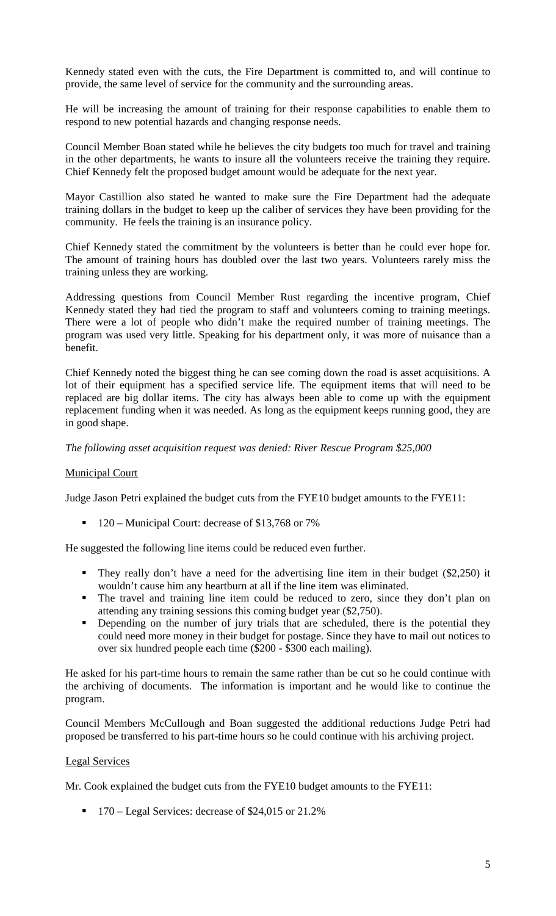Kennedy stated even with the cuts, the Fire Department is committed to, and will continue to provide, the same level of service for the community and the surrounding areas.

He will be increasing the amount of training for their response capabilities to enable them to respond to new potential hazards and changing response needs.

Council Member Boan stated while he believes the city budgets too much for travel and training in the other departments, he wants to insure all the volunteers receive the training they require. Chief Kennedy felt the proposed budget amount would be adequate for the next year.

Mayor Castillion also stated he wanted to make sure the Fire Department had the adequate training dollars in the budget to keep up the caliber of services they have been providing for the community. He feels the training is an insurance policy.

Chief Kennedy stated the commitment by the volunteers is better than he could ever hope for. The amount of training hours has doubled over the last two years. Volunteers rarely miss the training unless they are working.

Addressing questions from Council Member Rust regarding the incentive program, Chief Kennedy stated they had tied the program to staff and volunteers coming to training meetings. There were a lot of people who didn't make the required number of training meetings. The program was used very little. Speaking for his department only, it was more of nuisance than a benefit.

Chief Kennedy noted the biggest thing he can see coming down the road is asset acquisitions. A lot of their equipment has a specified service life. The equipment items that will need to be replaced are big dollar items. The city has always been able to come up with the equipment replacement funding when it was needed. As long as the equipment keeps running good, they are in good shape.

*The following asset acquisition request was denied: River Rescue Program \$25,000*

### Municipal Court

Judge Jason Petri explained the budget cuts from the FYE10 budget amounts to the FYE11:

 $\blacksquare$  120 – Municipal Court: decrease of \$13,768 or 7%

He suggested the following line items could be reduced even further.

- They really don't have a need for the advertising line item in their budget (\$2,250) it wouldn't cause him any heartburn at all if the line item was eliminated.
- The travel and training line item could be reduced to zero, since they don't plan on attending any training sessions this coming budget year (\$2,750).
- Depending on the number of jury trials that are scheduled, there is the potential they could need more money in their budget for postage. Since they have to mail out notices to over six hundred people each time (\$200 - \$300 each mailing).

He asked for his part-time hours to remain the same rather than be cut so he could continue with the archiving of documents. The information is important and he would like to continue the program.

Council Members McCullough and Boan suggested the additional reductions Judge Petri had proposed be transferred to his part-time hours so he could continue with his archiving project.

### Legal Services

Mr. Cook explained the budget cuts from the FYE10 budget amounts to the FYE11:

 $\blacksquare$  170 – Legal Services: decrease of \$24,015 or 21.2%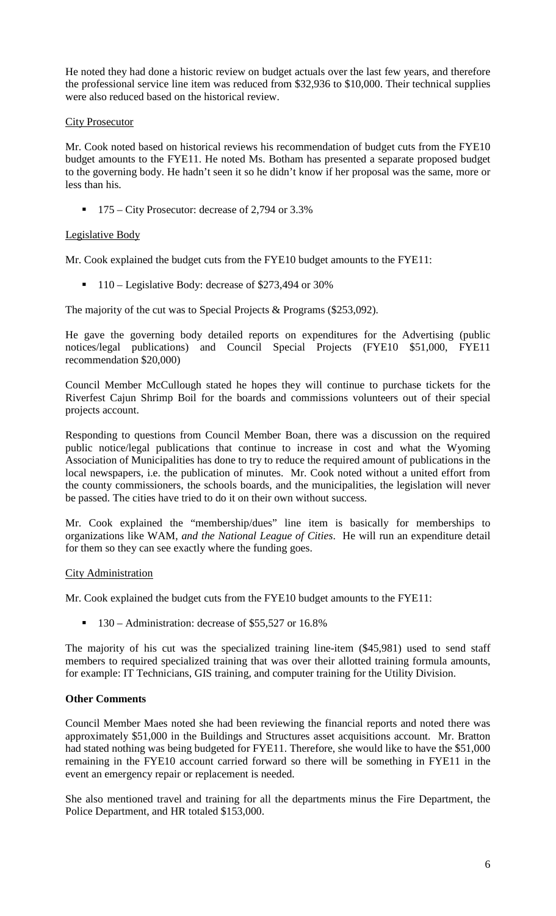He noted they had done a historic review on budget actuals over the last few years, and therefore the professional service line item was reduced from \$32,936 to \$10,000. Their technical supplies were also reduced based on the historical review.

## City Prosecutor

Mr. Cook noted based on historical reviews his recommendation of budget cuts from the FYE10 budget amounts to the FYE11. He noted Ms. Botham has presented a separate proposed budget to the governing body. He hadn't seen it so he didn't know if her proposal was the same, more or less than his.

 $\blacksquare$  175 – City Prosecutor: decrease of 2,794 or 3.3%

# Legislative Body

Mr. Cook explained the budget cuts from the FYE10 budget amounts to the FYE11:

 $\blacksquare$  110 – Legislative Body: decrease of \$273,494 or 30%

The majority of the cut was to Special Projects & Programs (\$253,092).

He gave the governing body detailed reports on expenditures for the Advertising (public notices/legal publications) and Council Special Projects (FYE10 \$51,000, FYE11 recommendation \$20,000)

Council Member McCullough stated he hopes they will continue to purchase tickets for the Riverfest Cajun Shrimp Boil for the boards and commissions volunteers out of their special projects account.

Responding to questions from Council Member Boan, there was a discussion on the required public notice/legal publications that continue to increase in cost and what the Wyoming Association of Municipalities has done to try to reduce the required amount of publications in the local newspapers, i.e. the publication of minutes. Mr. Cook noted without a united effort from the county commissioners, the schools boards, and the municipalities, the legislation will never be passed. The cities have tried to do it on their own without success.

Mr. Cook explained the "membership/dues" line item is basically for memberships to organizations like WAM, *and the National League of Cities*. He will run an expenditure detail for them so they can see exactly where the funding goes.

### City Administration

Mr. Cook explained the budget cuts from the FYE10 budget amounts to the FYE11:

 $\blacksquare$  130 – Administration: decrease of \$55,527 or 16.8%

The majority of his cut was the specialized training line-item (\$45,981) used to send staff members to required specialized training that was over their allotted training formula amounts, for example: IT Technicians, GIS training, and computer training for the Utility Division.

### **Other Comments**

Council Member Maes noted she had been reviewing the financial reports and noted there was approximately \$51,000 in the Buildings and Structures asset acquisitions account. Mr. Bratton had stated nothing was being budgeted for FYE11. Therefore, she would like to have the \$51,000 remaining in the FYE10 account carried forward so there will be something in FYE11 in the event an emergency repair or replacement is needed.

She also mentioned travel and training for all the departments minus the Fire Department, the Police Department, and HR totaled \$153,000.